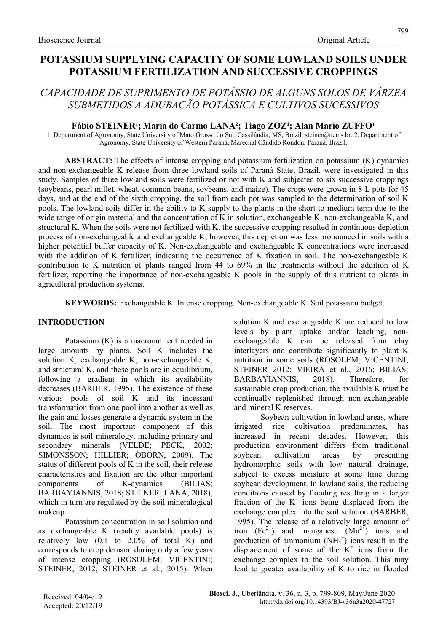# POTASSIUM SUPPLYING CAPACITY OF SOME LOWLAND SOILS UNDER POTASSIUM FERTILIZATION AND SUCCESSIVE CROPPINGS

# CAPACIDADE DE SUPRIMENTO DE POTÁSSIO DE ALGUNS SOLOS DE VÁRZEA SUBMETIDOS A ADUBAÇÃO POTÁSSICA E CULTIVOS SUCESSIVOS

# Fábio STEINER<sup>1</sup>; Maria do Carmo LANA<sup>2</sup>; Tiago ZOZ<sup>1</sup>; Alan Mario ZUFFO<sup>1</sup>

1. Department of Agronomy, State University of Mato Grosso do Sul, Cassilândia, MS, Brazil, steiner@uems.br. 2. Department of Agronomy, State University of Western Paraná, Marechal Cândido Rondon, Paraná, Brazil.

ABSTRACT: The effects of intense cropping and potassium fertilization on potassium (K) dynamics and non-exchangeable K release from three lowland soils of Paraná State, Brazil, were investigated in this study. Samples of three lowland soils were fertilized or not with K and subjected to six successive croppings (soybeans, pearl millet, wheat, common beans, soybeans, and maize). The crops were grown in 8-L pots for 45 days, and at the end of the sixth cropping, the soil from each pot was sampled to the determination of soil K pools. The lowland soils differ in the ability to K supply to the plants in the short to medium term due to the wide range of origin material and the concentration of K in solution, exchangeable K, non-exchangeable K, and structural K. When the soils were not fertilized with K, the successive cropping resulted in continuous depletion process of non-exchangeable and exchangeable K; however, this depletion was less pronounced in soils with a higher potential buffer capacity of K. Non-exchangeable and exchangeable K concentrations were increased with the addition of K fertilizer, indicating the occurrence of K fixation in soil. The non-exchangeable K contribution to K nutrition of plants ranged from 44 to 69% in the treatments without the addition of K fertilizer, reporting the importance of non-exchangeable K pools in the supply of this nutrient to plants in agricultural production systems.

KEYWORDS: Exchangeable K. Intense cropping. Non-exchangeable K. Soil potassium budget.

# INTRODUCTION

Potassium (K) is a macronutrient needed in large amounts by plants. Soil K includes the solution K, exchangeable K, non-exchangeable K, and structural K, and these pools are in equilibrium, following a gradient in which its availability decreases (BARBER, 1995). The existence of these various pools of soil K and its incessant transformation from one pool into another as well as the gain and losses generate a dynamic system in the soil. The most important component of this dynamics is soil mineralogy, including primary and secondary minerals (VELDE; PECK, 2002; SIMONSSON; HILLIER; ÖBORN, 2009). The status of different pools of K in the soil, their release characteristics and fixation are the other important components of K-dynamics (BILIAS; BARBAYIANNIS, 2018; STEINER; LANA, 2018), which in turn are regulated by the soil mineralogical makeup.

Potassium concentration in soil solution and as exchangeable K (readily available pools) is relatively low (0.1 to 2.0% of total K) and corresponds to crop demand during only a few years of intense cropping (ROSOLEM; VICENTINI; STEINER, 2012; STEINER et al., 2015). When solution K and exchangeable K are reduced to low levels by plant uptake and/or leaching, nonexchangeable K can be released from clay interlayers and contribute significantly to plant K nutrition in some soils (ROSOLEM; VICENTINI; STEINER 2012; VIEIRA et al., 2016; BILIAS; BARBAYIANNIS, 2018). Therefore, for sustainable crop production, the available K must be continually replenished through non-exchangeable and mineral K reserves.

Soybean cultivation in lowland areas, where irrigated rice cultivation predominates, has increased in recent decades. However, this production environment differs from traditional soybean cultivation areas by presenting hydromorphic soils with low natural drainage, subject to excess moisture at some time during soybean development. In lowland soils, the reducing conditions caused by flooding resulting in a larger fraction of the  $K^+$  ions being displaced from the exchange complex into the soil solution (BARBER, 1995). The release of a relatively large amount of iron  $(Fe^{2+})$  and manganese  $(Mn^{2+})$  ions and production of ammonium  $(NH_4^+)$  ions result in the displacement of some of the  $K^+$  ions from the exchange complex to the soil solution. This may lead to greater availability of K to rice in flooded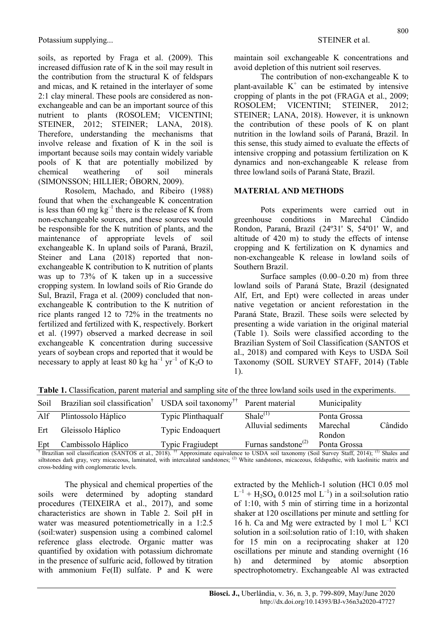soils, as reported by Fraga et al. (2009). This increased diffusion rate of K in the soil may result in the contribution from the structural K of feldspars and micas, and K retained in the interlayer of some 2:1 clay mineral. These pools are considered as nonexchangeable and can be an important source of this nutrient to plants (ROSOLEM; VICENTINI; STEINER, 2012; STEINER; LANA, 2018). Therefore, understanding the mechanisms that involve release and fixation of K in the soil is important because soils may contain widely variable pools of K that are potentially mobilized by chemical weathering of soil minerals (SIMONSSON; HILLIER; ÖBORN, 2009).

Rosolem, Machado, and Ribeiro (1988) found that when the exchangeable K concentration is less than 60 mg  $kg^{-1}$  there is the release of K from non-exchangeable sources, and these sources would be responsible for the K nutrition of plants, and the maintenance of appropriate levels of soil exchangeable K. In upland soils of Paraná, Brazil, Steiner and Lana (2018) reported that nonexchangeable K contribution to K nutrition of plants was up to 73% of K taken up in a successive cropping system. In lowland soils of Rio Grande do Sul, Brazil, Fraga et al. (2009) concluded that nonexchangeable K contribution to the K nutrition of rice plants ranged 12 to 72% in the treatments no fertilized and fertilized with K, respectively. Borkert et al. (1997) observed a marked decrease in soil exchangeable K concentration during successive years of soybean crops and reported that it would be necessary to apply at least  $80 \text{ kg ha}^{-1} \text{ yr}^{-1}$  of  $\text{K}_2\text{O}$  to

maintain soil exchangeable K concentrations and avoid depletion of this nutrient soil reserves.

The contribution of non-exchangeable K to plant-available  $K^+$  can be estimated by intensive cropping of plants in the pot (FRAGA et al., 2009; ROSOLEM; VICENTINI; STEINER, 2012; STEINER; LANA, 2018). However, it is unknown the contribution of these pools of K on plant nutrition in the lowland soils of Paraná, Brazil. In this sense, this study aimed to evaluate the effects of intensive cropping and potassium fertilization on K dynamics and non-exchangeable K release from three lowland soils of Paraná State, Brazil.

#### MATERIAL AND METHODS

Pots experiments were carried out in greenhouse conditions in Marechal Cândido Rondon, Paraná, Brazil (24º31' S, 54º01' W, and altitude of 420 m) to study the effects of intense cropping and K fertilization on K dynamics and non-exchangeable K release in lowland soils of Southern Brazil.

Surface samples (0.00–0.20 m) from three lowland soils of Paraná State, Brazil (designated Alf, Ert, and Ept) were collected in areas under native vegetation or ancient reforestation in the Paraná State, Brazil. These soils were selected by presenting a wide variation in the original material (Table 1). Soils were classified according to the Brazilian System of Soil Classification (SANTOS et al., 2018) and compared with Keys to USDA Soil Taxonomy (SOIL SURVEY STAFF, 2014) (Table 1).

| Soil | Brazilian soil classification <sup>†</sup> USDA soil taxonomy <sup>††</sup> Parent material |                    |                                 | Municipality       |         |
|------|---------------------------------------------------------------------------------------------|--------------------|---------------------------------|--------------------|---------|
| Alf  | Plintossolo Háplico                                                                         | Typic Plinthaqualf | $Shale^{(1)}$                   | Ponta Grossa       |         |
| Ert  | Gleissolo Háplico                                                                           | Typic Endoaquert   | Alluvial sediments              | Marechal<br>Rondon | Cândido |
| Ept  | Cambissolo Háplico                                                                          | Typic Fragiudept   | Furnas sandstone <sup>(2)</sup> | Ponta Grossa       |         |

Table 1. Classification, parent material and sampling site of the three lowland soils used in the experiments.

<sup>†</sup> Brazilian soil classification (SANTOS et al., 2018). <sup>††</sup> Approximate equivalence to USDA soil taxonomy (Soil Survey Staff, 2014); <sup>(1)</sup> Shales and siltstones dark gray, very micaceous, laminated, with intercalated sandstones; <sup>(2)</sup> White sandstones, micaceous, feldspathic, with kaolinitic matrix and cross-bedding with conglomeratic levels.

The physical and chemical properties of the soils were determined by adopting standard procedures (TEIXEIRA et al., 2017), and some characteristics are shown in Table 2. Soil pH in water was measured potentiometrically in a 1:2.5 (soil:water) suspension using a combined calomel reference glass electrode. Organic matter was quantified by oxidation with potassium dichromate in the presence of sulfuric acid, followed by titration with ammonium Fe(II) sulfate. P and K were

extracted by the Mehlich-1 solution (HCl 0.05 mol  $L^{-1}$  + H<sub>2</sub>SO<sub>4</sub> 0.0125 mol L<sup>-1</sup>) in a soil:solution ratio of 1:10, with 5 min of stirring time in a horizontal shaker at 120 oscillations per minute and settling for 16 h. Ca and Mg were extracted by 1 mol  $L^{-1}$  KCl solution in a soil:solution ratio of 1:10, with shaken for 15 min on a reciprocating shaker at 120 oscillations per minute and standing overnight (16 h) and determined by atomic absorption spectrophotometry. Exchangeable Al was extracted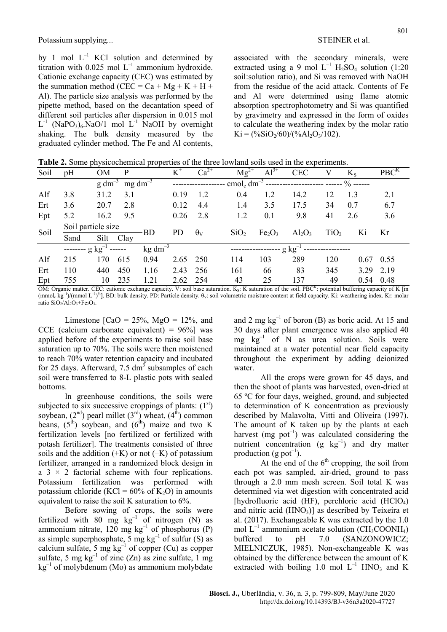by 1 mol  $L^{-1}$  KCl solution and determined by titration with  $0.025$  mol  $L^{-1}$  ammonium hydroxide. Cationic exchange capacity (CEC) was estimated by the summation method (CEC =  $Ca + Mg + K + H +$ Al). The particle size analysis was performed by the pipette method, based on the decantation speed of different soil particles after dispersion in 0.015 mol  $L^{-1}$  (NaPO<sub>3</sub>)<sub>6</sub>.NaO/1 mol  $L^{-1}$  NaOH by overnight shaking. The bulk density measured by the graduated cylinder method. The Fe and Al contents,

associated with the secondary minerals, were extracted using a 9 mol  $L^{-1}$  H<sub>2</sub>SO<sub>4</sub> solution (1:20) soil:solution ratio), and Si was removed with NaOH from the residue of the acid attack. Contents of Fe and Al were determined using flame atomic absorption spectrophotometry and Si was quantified by gravimetry and expressed in the form of oxides to calculate the weathering index by the molar ratio  $Ki = (\frac{6}{5} \cdot 60) / (\frac{6}{6} Al_2O_3/102).$ 

Table 2. Some physicochemical properties of the three lowland soils used in the experiments.

| Soil | pH                              | OM                                     | P               |                     | $K^+$        | $Ca^{2+}$        | $Mg^{2+}$                      | $\overline{A}$ 1 <sup>3+</sup> | <b>CEC</b>                                               | V   | $K_{S}$     | PBC <sup>K</sup> |
|------|---------------------------------|----------------------------------------|-----------------|---------------------|--------------|------------------|--------------------------------|--------------------------------|----------------------------------------------------------|-----|-------------|------------------|
|      |                                 | $g \text{ dm}^{-3}$                    | $mg \, dm^{-3}$ |                     |              |                  |                                |                                | cmol <sub>c</sub> dm <sup>-3</sup> --------------------- |     | $\%$ ------ |                  |
| Alf  | 3.8                             | 31.2                                   | 3.1             |                     | 0.19         | 1.2              | 0.4                            | 1.2                            | 14.2                                                     | 12  | 1.3         | 2.1              |
| Ert  | 3.6                             | 20.7                                   | 2.8             |                     | 0.12         | 4.4              | 1.4                            | 3.5                            | 17.5                                                     | 34  | 0.7         | 6.7              |
| Ept  | 5.2                             | 16.2                                   | 9.5             |                     | 0.26         | 2.8              | 1.2                            | 0.1                            | 9.8                                                      | 41  | 2.6         | 3.6              |
| Soil | Soil particle size<br><b>BD</b> |                                        |                 | <b>PD</b>           | $\theta_{V}$ | SiO <sub>2</sub> | Fe <sub>2</sub> O <sub>3</sub> |                                | TiO <sub>2</sub>                                         | Ki  | Kr          |                  |
|      | Sand                            | Silt Clay                              |                 |                     |              |                  |                                |                                | $Al_2O_3$                                                |     |             |                  |
|      | --------                        | $\frac{1}{2}$ kg <sup>-1</sup> ------- |                 | $\text{kg dm}^{-3}$ |              |                  |                                | $g kg^{-1}$                    |                                                          |     |             |                  |
| Alf  | 215                             | 170                                    | 615             | 0.94                | 2.65         | 250              | 114                            | 103                            | 289                                                      | 120 |             | $0.67$ 0.55      |
| Ert  | 110                             | 440                                    | 450             | 1.16                | 2.43         | 256              | 161                            | 66                             | 83                                                       | 345 |             | 3.29 2.19        |
| Ept  | 755                             | 10                                     | 235             | 1.21                | 2.62 254     |                  | 43                             | 25                             | 137                                                      | 49  |             | $0.54$ 0.48      |
|      |                                 |                                        |                 |                     |              |                  |                                |                                |                                                          |     |             |                  |

OM: Organic matter. CEC: cationic exchange capacity. V: soil base saturation.  $K_S$ : K saturation of the soil. PBC<sup>K</sup>: potential buffering capacity of K [in]  $(\text{mmol}_c \,\text{kg}^{-1})/(\text{mmol L}^{-1})^{1/2}$ . BD: bulk density. PD: Particle density.  $\theta_V$ : soil volumetric moisture content at field capacity. Ki: weathering index. Kr: molar ratio SiO<sub>2</sub>/Al<sub>2</sub>O<sub>3</sub>+Fe<sub>2</sub>O<sub>3</sub>.

Limestone  $\text{[CaO} = 25\%, \text{MgO} = 12\%, \text{ and}$ CCE (calcium carbonate equivalent) =  $96\%$ ] was applied before of the experiments to raise soil base saturation up to 70%. The soils were then moistened to reach 70% water retention capacity and incubated for 25 days. Afterward, 7.5  $dm<sup>3</sup>$  subsamples of each soil were transferred to 8-L plastic pots with sealed bottoms.

In greenhouse conditions, the soils were subjected to six successive croppings of plants:  $(1<sup>st</sup>)$ soybean,  $(2^{nd})$  pearl millet  $(3^{rd})$  wheat,  $(4^{th})$  common beans,  $(5^{th})$  soybean, and  $(6^{th})$  maize and two K fertilization levels [no fertilized or fertilized with potash fertilizer]. The treatments consisted of three soils and the addition  $(+K)$  or not  $(-K)$  of potassium fertilizer, arranged in a randomized block design in a  $3 \times 2$  factorial scheme with four replications. Potassium fertilization was performed with potassium chloride (KCl =  $60\%$  of K<sub>2</sub>O) in amounts equivalent to raise the soil K saturation to 6%.

Before sowing of crops, the soils were fertilized with 80 mg  $kg^{-1}$  of nitrogen (N) as ammonium nitrate,  $120 \text{ mg kg}^{-1}$  of phosphorus (P) as simple superphosphate,  $\overline{5}$  mg kg<sup>-1</sup> of sulfur (S) as calcium sulfate, 5 mg  $kg^{-1}$  of copper (Cu) as copper sulfate, 5 mg  $kg^{-1}$  of zinc (Zn) as zinc sulfate, 1 mg  $kg^{-1}$  of molybdenum (Mo) as ammonium molybdate and 2 mg  $kg^{-1}$  of boron (B) as boric acid. At 15 and 30 days after plant emergence was also applied 40 mg  $kg^{-1}$  of N as urea solution. Soils were maintained at a water potential near field capacity throughout the experiment by adding deionized water.

All the crops were grown for 45 days, and then the shoot of plants was harvested, oven-dried at 65 ºC for four days, weighed, ground, and subjected to determination of K concentration as previously described by Malavolta, Vitti and Oliveira (1997). The amount of K taken up by the plants at each harvest (mg  $pot^{-1}$ ) was calculated considering the nutrient concentration (g  $kg^{-1}$ ) and dry matter production (g pot<sup>-1</sup>).

At the end of the  $6<sup>th</sup>$  cropping, the soil from each pot was sampled, air-dried, ground to pass through a 2.0 mm mesh screen. Soil total K was determined via wet digestion with concentrated acid [hydrofluoric acid (HF), perchloric acid (HClO<sub>4</sub>) and nitric acid  $(HNO<sub>3</sub>)$ ] as described by Teixeira et al. (2017). Exchangeable K was extracted by the 1.0 mol  $L^{-1}$  ammonium acetate solution (CH<sub>3</sub>COONH<sub>4</sub>) buffered to pH 7.0 (SANZONOWICZ; MIELNICZUK, 1985). Non-exchangeable K was obtained by the difference between the amount of K extracted with boiling 1.0 mol  $L^{-1}$  HNO<sub>3</sub> and K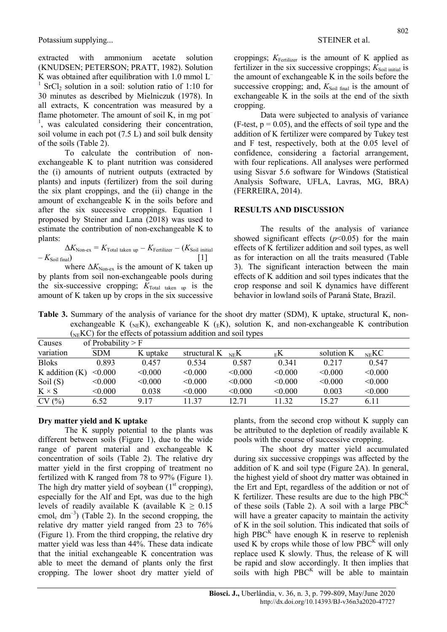extracted with ammonium acetate solution (KNUDSEN; PETERSON; PRATT, 1982). Solution K was obtained after equilibration with 1.0 mmol  $L^ 1$  SrCl<sub>2</sub> solution in a soil: solution ratio of 1:10 for 30 minutes as described by Mielniczuk (1978). In all extracts, K concentration was measured by a flame photometer. The amount of soil K, in mg pot<sup>-</sup> <sup>1</sup>, was calculated considering their concentration, soil volume in each pot (7.5 L) and soil bulk density of the soils (Table 2).

To calculate the contribution of nonexchangeable K to plant nutrition was considered the (i) amounts of nutrient outputs (extracted by plants) and inputs (fertilizer) from the soil during the six plant croppings, and the (ii) change in the amount of exchangeable K in the soils before and after the six successive croppings. Equation 1 proposed by Steiner and Lana (2018) was used to estimate the contribution of non-exchangeable K to plants:

$$
\Delta K_{\text{Non-ex}} = K_{\text{Total taken up}} - K_{\text{Fertilizer}} - (K_{\text{Soil initial}} - K_{\text{Soil final}})
$$
 [1]

where  $\Delta K_{\text{Non-ex}}$  is the amount of K taken up by plants from soil non-exchangeable pools during the six-successive cropping;  $K_{\text{Total taken up}}$  is the amount of K taken up by crops in the six successive croppings;  $K_{Fertilizer}$  is the amount of K applied as fertilizer in the six successive croppings;  $K_{\text{Soil initial}}$  is the amount of exchangeable K in the soils before the successive cropping; and,  $K_{\text{Soil final}}$  is the amount of exchangeable K in the soils at the end of the sixth cropping.

Data were subjected to analysis of variance  $(F-test, p = 0.05)$ , and the effects of soil type and the addition of K fertilizer were compared by Tukey test and F test, respectively, both at the 0.05 level of confidence, considering a factorial arrangement, with four replications. All analyses were performed using Sisvar 5.6 software for Windows (Statistical Analysis Software, UFLA, Lavras, MG, BRA) (FERREIRA, 2014).

#### RESULTS AND DISCUSSION

The results of the analysis of variance showed significant effects  $(p<0.05)$  for the main effects of K fertilizer addition and soil types, as well as for interaction on all the traits measured (Table 3). The significant interaction between the main effects of K addition and soil types indicates that the crop response and soil K dynamics have different behavior in lowland soils of Paraná State, Brazil.

Table 3. Summary of the analysis of variance for the shoot dry matter (SDM), K uptake, structural K, nonexchangeable K ( $_{\text{NE}}$ K), exchangeable K ( $_{\text{E}}$ K), solution K, and non-exchangeable K contribution  $(N_FKC)$  for the effects of potassium addition and soil types

| Causes             | of Probability $>$ F |          |                             |         |               |            |                   |
|--------------------|----------------------|----------|-----------------------------|---------|---------------|------------|-------------------|
| variation          | <b>SDM</b>           | K uptake | structural $K_{\text{NE}}K$ |         | $E_{\rm E}$ K | solution K | $_{\text{NE}}$ KC |
| <b>Bloks</b>       | 0.893                | 0.457    | 0.534                       | 0.587   | 0.341         | 0.217      | 0.547             |
| $K$ addition $(K)$ | < 0.000              | < 0.000  | < 0.000                     | < 0.000 | < 0.000       | < 0.000    | < 0.000           |
| Soil $(S)$         | < 0.000              | < 0.000  | < 0.000                     | < 0.000 | < 0.000       | < 0.000    | < 0.000           |
| $K \times S$       | < 0.000              | 0.038    | < 0.000                     | < 0.000 | < 0.000       | 0.003      | < 0.000           |
| CV(%)              | 6.52                 | 9.17     | 11.37                       | 12.71   | 11.32         | 15.27      | 6.11              |

# Dry matter yield and K uptake

The K supply potential to the plants was different between soils (Figure 1), due to the wide range of parent material and exchangeable K concentration of soils (Table 2). The relative dry matter yield in the first cropping of treatment no fertilized with K ranged from 78 to 97% (Figure 1). The high dry matter yield of soybean  $(1<sup>st</sup>$  cropping), especially for the Alf and Ept, was due to the high levels of readily available K (available  $K \geq 0.15$ cmol<sub>c</sub>  $dm^{-3}$ ) (Table 2). In the second cropping, the relative dry matter yield ranged from 23 to 76% (Figure 1). From the third cropping, the relative dry matter yield was less than 44%. These data indicate that the initial exchangeable K concentration was able to meet the demand of plants only the first cropping. The lower shoot dry matter yield of

plants, from the second crop without K supply can be attributed to the depletion of readily available K pools with the course of successive cropping.

The shoot dry matter yield accumulated during six successive croppings was affected by the addition of K and soil type (Figure 2A). In general, the highest yield of shoot dry matter was obtained in the Ert and Ept, regardless of the addition or not of K fertilizer. These results are due to the high  $PBC^{K}$ of these soils (Table 2). A soil with a large  $PBC^{K}$ will have a greater capacity to maintain the activity of K in the soil solution. This indicated that soils of high PBC $<sup>K</sup>$  have enough K in reserve to replenish</sup> used K by crops while those of low  $PBC^{K}$  will only replace used K slowly. Thus, the release of K will be rapid and slow accordingly. It then implies that soils with high  $PBC^{K}$  will be able to maintain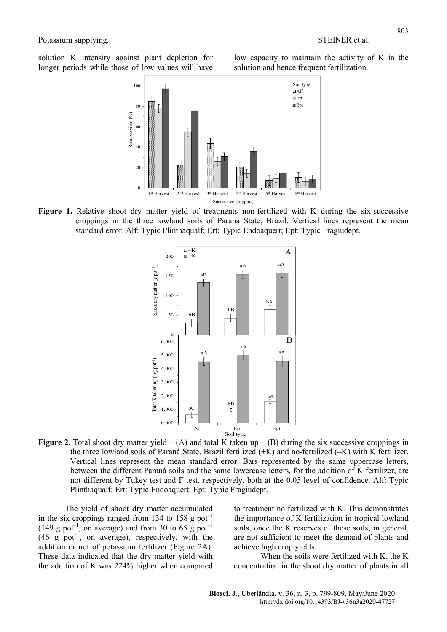solution K intensity against plant depletion for longer periods while those of low values will have

low capacity to maintain the activity of K in the solution and hence frequent fertilization.



Figure 1. Relative shoot dry matter yield of treatments non-fertilized with K during the six-successive croppings in the three lowland soils of Paraná State, Brazil. Vertical lines represent the mean standard error. Alf: Typic Plinthaqualf; Ert: Typic Endoaquert; Ept: Typic Fragiudept.



**Figure 2.** Total shoot dry matter yield  $- (A)$  and total K taken up  $- (B)$  during the six successive croppings in the three lowland soils of Paraná State, Brazil fertilized (+K) and no-fertilized (–K) with K fertilizer. Vertical lines represent the mean standard error. Bars represented by the same uppercase letters, between the different Paraná soils and the same lowercase letters, for the addition of K fertilizer, are not different by Tukey test and F test, respectively, both at the 0.05 level of confidence. Alf: Typic Plinthaqualf; Ert: Typic Endoaquert; Ept: Typic Fragiudept.

The yield of shoot dry matter accumulated in the six croppings ranged from 134 to 158 g pot<sup>-1</sup> (149 g pot<sup>-1</sup>, on average) and from 30 to 65 g pot<sup>-1</sup>  $(46 \text{ g pot}^{-1}$ , on average), respectively, with the addition or not of potassium fertilizer (Figure 2A). These data indicated that the dry matter yield with the addition of K was 224% higher when compared to treatment no fertilized with K. This demonstrates the importance of K fertilization in tropical lowland soils, once the K reserves of these soils, in general, are not sufficient to meet the demand of plants and achieve high crop yields.

When the soils were fertilized with K, the K concentration in the shoot dry matter of plants in all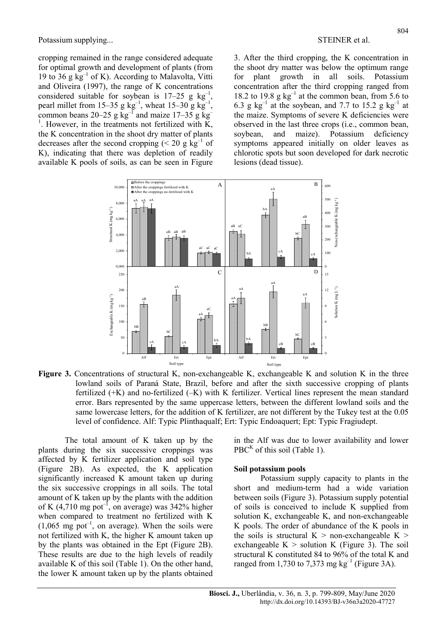cropping remained in the range considered adequate for optimal growth and development of plants (from 19 to 36 g  $kg^{-1}$  of K). According to Malavolta, Vitti and Oliveira (1997), the range of K concentrations considered suitable for soybean is  $17-25$  g kg<sup>-1</sup>, pearl millet from 15–35 g  $\text{kg}^{-1}$ , wheat 15–30 g  $\text{kg}^{-1}$ , common beans  $20-25$  g kg<sup>-1</sup> and maize  $17-35$  g kg<sup>-1</sup> <sup>1</sup>. However, in the treatments not fertilized with  $\overline{K}$ , the K concentration in the shoot dry matter of plants decreases after the second cropping  $\approx 20$  g kg<sup>-1</sup> of K), indicating that there was depletion of readily available K pools of soils, as can be seen in Figure

3. After the third cropping, the K concentration in the shoot dry matter was below the optimum range for plant growth in all soils. Potassium concentration after the third cropping ranged from 18.2 to 19.8 g  $kg^{-1}$  at the common bean, from 5.6 to 6.3 g  $\text{kg}^{-1}$  at the soybean, and 7.7 to 15.2 g  $\text{kg}^{-1}$  at the maize. Symptoms of severe K deficiencies were observed in the last three crops (i.e., common bean, soybean, and maize). Potassium deficiency symptoms appeared initially on older leaves as chlorotic spots but soon developed for dark necrotic lesions (dead tissue).



Figure 3. Concentrations of structural K, non-exchangeable K, exchangeable K and solution K in the three lowland soils of Paraná State, Brazil, before and after the sixth successive cropping of plants fertilized (+K) and no-fertilized (–K) with K fertilizer. Vertical lines represent the mean standard error. Bars represented by the same uppercase letters, between the different lowland soils and the same lowercase letters, for the addition of K fertilizer, are not different by the Tukey test at the 0.05 level of confidence. Alf: Typic Plinthaqualf; Ert: Typic Endoaquert; Ept: Typic Fragiudept.

The total amount of K taken up by the plants during the six successive croppings was affected by K fertilizer application and soil type (Figure 2B). As expected, the K application significantly increased K amount taken up during the six successive croppings in all soils. The total amount of K taken up by the plants with the addition of K  $(4,710 \text{ mg pot}^{-1}$ , on average) was 342% higher when compared to treatment no fertilized with K  $(1,065 \text{ mg pot}^{-1})$ , on average). When the soils were not fertilized with K, the higher K amount taken up by the plants was obtained in the Ept (Figure 2B). These results are due to the high levels of readily available K of this soil (Table 1). On the other hand, the lower K amount taken up by the plants obtained

in the Alf was due to lower availability and lower PBC $<sup>K</sup>$  of this soil (Table 1).</sup>

#### Soil potassium pools

Potassium supply capacity to plants in the short and medium-term had a wide variation between soils (Figure 3). Potassium supply potential of soils is conceived to include K supplied from solution K, exchangeable K, and non-exchangeable K pools. The order of abundance of the K pools in the soils is structural  $K >$  non-exchangeable  $K >$ exchangeable  $K >$  solution K (Figure 3). The soil structural K constituted 84 to 96% of the total K and ranged from 1,730 to 7,373 mg  $kg^{-1}$  (Figure 3A).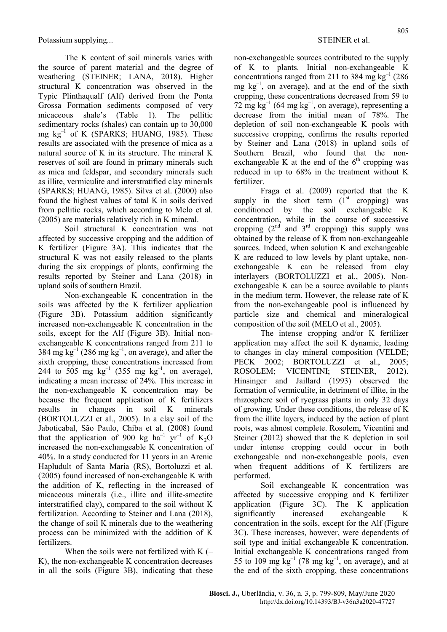The K content of soil minerals varies with the source of parent material and the degree of weathering (STEINER; LANA, 2018). Higher structural K concentration was observed in the Typic Plinthaqualf (Alf) derived from the Ponta Grossa Formation sediments composed of very micaceous shale's (Table 1). The pellitic sedimentary rocks (shales) can contain up to 30,000 mg  $kg^{-1}$  of K (SPARKS; HUANG, 1985). These results are associated with the presence of mica as a natural source of K in its structure. The mineral K reserves of soil are found in primary minerals such as mica and feldspar, and secondary minerals such as illite, vermiculite and interstratified clay minerals (SPARKS; HUANG, 1985). Silva et al. (2000) also found the highest values of total K in soils derived from pellitic rocks, which according to Melo et al. (2005) are materials relatively rich in K mineral.

Soil structural K concentration was not affected by successive cropping and the addition of K fertilizer (Figure 3A). This indicates that the structural K was not easily released to the plants during the six croppings of plants, confirming the results reported by Steiner and Lana (2018) in upland soils of southern Brazil.

Non-exchangeable K concentration in the soils was affected by the K fertilizer application (Figure 3B). Potassium addition significantly increased non-exchangeable K concentration in the soils, except for the Alf (Figure 3B). Initial nonexchangeable K concentrations ranged from 211 to 384 mg  $kg^{-1}$  (286 mg  $kg^{-1}$ , on average), and after the sixth cropping, these concentrations increased from 244 to  $505 \text{ mg} \text{ kg}^{-1}$  (355 mg kg<sup>-1</sup>, on average), indicating a mean increase of 24%. This increase in the non-exchangeable K concentration may be because the frequent application of K fertilizers results in changes in soil K minerals (BORTOLUZZI et al., 2005). In a clay soil of the Jaboticabal, São Paulo, Chiba et al. (2008) found that the application of 900 kg ha<sup>-1</sup> yr<sup>-1</sup> of K<sub>2</sub>O increased the non-exchangeable K concentration of 40%. In a study conducted for 11 years in an Arenic Hapludult of Santa Maria (RS), Bortoluzzi et al. (2005) found increased of non-exchangeable K with the addition of K, reflecting in the increased of micaceous minerals (i.e., illite and illite-smectite interstratified clay), compared to the soil without K fertilization. According to Steiner and Lana (2018), the change of soil K minerals due to the weathering process can be minimized with the addition of K fertilizers.

When the soils were not fertilized with  $K$  (– K), the non-exchangeable K concentration decreases in all the soils (Figure 3B), indicating that these

non-exchangeable sources contributed to the supply of K to plants. Initial non-exchangeable K concentrations ranged from 211 to 384 mg  $kg^{-1}$  (286) mg  $kg^{-1}$ , on average), and at the end of the sixth cropping, these concentrations decreased from 59 to 72 mg  $\text{kg}^{-1}$  (64 mg  $\text{kg}^{-1}$ , on average), representing a decrease from the initial mean of 78%. The depletion of soil non-exchangeable K pools with successive cropping, confirms the results reported by Steiner and Lana (2018) in upland soils of Southern Brazil, who found that the nonexchangeable K at the end of the  $6<sup>th</sup>$  cropping was reduced in up to 68% in the treatment without K fertilizer.

Fraga et al. (2009) reported that the K supply in the short term  $(1<sup>st</sup>$  cropping) was conditioned by the soil exchangeable K concentration, while in the course of successive cropping  $(2<sup>nd</sup>$  and  $3<sup>rd</sup>$  cropping) this supply was obtained by the release of K from non-exchangeable sources. Indeed, when solution K and exchangeable K are reduced to low levels by plant uptake, nonexchangeable K can be released from clay interlayers (BORTOLUZZI et al., 2005). Nonexchangeable K can be a source available to plants in the medium term. However, the release rate of K from the non-exchangeable pool is influenced by particle size and chemical and mineralogical composition of the soil (MELO et al., 2005).

The intense cropping and/or K fertilizer application may affect the soil K dynamic, leading to changes in clay mineral composition (VELDE; PECK 2002; BORTOLUZZI et al., 2005; ROSOLEM; VICENTINI; STEINER, 2012). Hinsinger and Jaillard (1993) observed the formation of vermiculite, in detriment of illite, in the rhizosphere soil of ryegrass plants in only 32 days of growing. Under these conditions, the release of K from the illite layers, induced by the action of plant roots, was almost complete. Rosolem, Vicentini and Steiner (2012) showed that the K depletion in soil under intense cropping could occur in both exchangeable and non-exchangeable pools, even when frequent additions of K fertilizers are performed.

Soil exchangeable K concentration was affected by successive cropping and K fertilizer application (Figure 3C). The K application significantly increased exchangeable K concentration in the soils, except for the Alf (Figure 3C). These increases, however, were dependents of soil type and initial exchangeable K concentration. Initial exchangeable K concentrations ranged from 55 to 109 mg  $\text{kg}^{-1}$  (78 mg  $\text{kg}^{-1}$ , on average), and at the end of the sixth cropping, these concentrations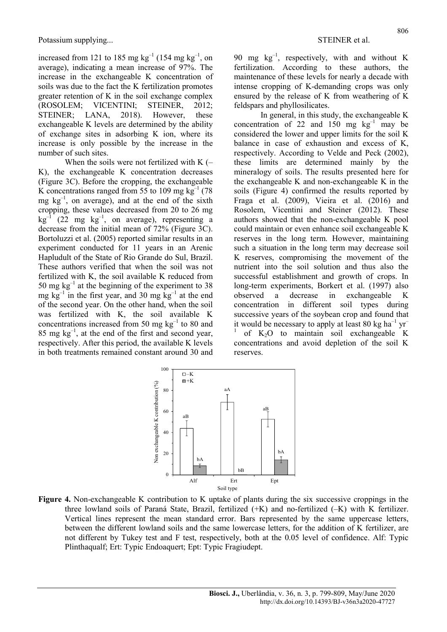increased from 121 to 185 mg  $kg^{-1}$  (154 mg  $kg^{-1}$ , on average), indicating a mean increase of 97%. The increase in the exchangeable K concentration of soils was due to the fact the K fertilization promotes greater retention of K in the soil exchange complex (ROSOLEM; VICENTINI; STEINER, 2012; STEINER; LANA, 2018). However, these exchangeable K levels are determined by the ability of exchange sites in adsorbing K ion, where its increase is only possible by the increase in the number of such sites.

When the soils were not fertilized with  $K$  (– K), the exchangeable K concentration decreases (Figure 3C). Before the cropping, the exchangeable K concentrations ranged from 55 to 109 mg  $kg^{-1}$  (78) mg  $kg^{-1}$ , on average), and at the end of the sixth cropping, these values decreased from 20 to 26 mg  $kg^{-1}$  (22 mg  $kg^{-1}$ , on average), representing a decrease from the initial mean of 72% (Figure 3C). Bortoluzzi et al. (2005) reported similar results in an experiment conducted for 11 years in an Arenic Hapludult of the State of Rio Grande do Sul, Brazil. These authors verified that when the soil was not fertilized with K, the soil available K reduced from 50 mg  $kg^{-1}$  at the beginning of the experiment to 38 mg  $kg^{-1}$  in the first year, and 30 mg  $kg^{-1}$  at the end of the second year. On the other hand, when the soil was fertilized with K, the soil available K concentrations increased from 50 mg  $kg^{-1}$  to 80 and  $85 \text{ mg kg}^{-1}$ , at the end of the first and second year, respectively. After this period, the available K levels in both treatments remained constant around 30 and

90 mg  $kg^{-1}$ , respectively, with and without K fertilization. According to these authors, the maintenance of these levels for nearly a decade with intense cropping of K-demanding crops was only ensured by the release of K from weathering of K feldspars and phyllosilicates.

In general, in this study, the exchangeable K concentration of 22 and 150 mg  $kg^{-1}$  may be considered the lower and upper limits for the soil K balance in case of exhaustion and excess of K, respectively. According to Velde and Peck (2002), these limits are determined mainly by the mineralogy of soils. The results presented here for the exchangeable K and non-exchangeable K in the soils (Figure 4) confirmed the results reported by Fraga et al. (2009), Vieira et al. (2016) and Rosolem, Vicentini and Steiner (2012). These authors showed that the non-exchangeable K pool could maintain or even enhance soil exchangeable K reserves in the long term. However, maintaining such a situation in the long term may decrease soil K reserves, compromising the movement of the nutrient into the soil solution and thus also the successful establishment and growth of crops. In long-term experiments, Borkert et al. (1997) also observed a decrease in exchangeable K concentration in different soil types during successive years of the soybean crop and found that it would be necessary to apply at least 80 kg ha<sup>-1</sup> yr<sup>-1</sup> 1 of  $K_2O$  to maintain soil exchangeable K concentrations and avoid depletion of the soil K reserves.



Figure 4. Non-exchangeable K contribution to K uptake of plants during the six successive croppings in the three lowland soils of Paraná State, Brazil, fertilized (+K) and no-fertilized (–K) with K fertilizer. Vertical lines represent the mean standard error. Bars represented by the same uppercase letters, between the different lowland soils and the same lowercase letters, for the addition of K fertilizer, are not different by Tukey test and F test, respectively, both at the 0.05 level of confidence. Alf: Typic Plinthaqualf; Ert: Typic Endoaquert; Ept: Typic Fragiudept.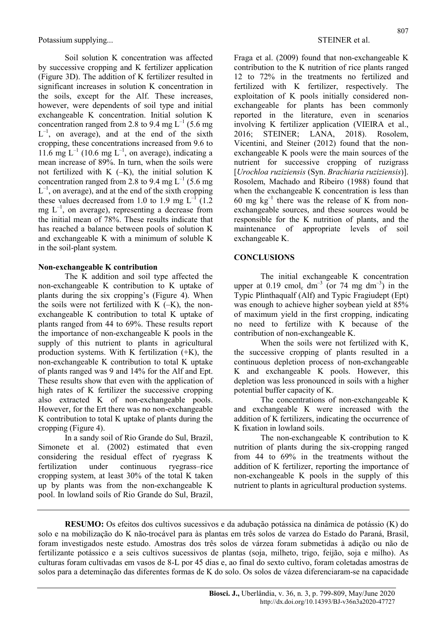Soil solution K concentration was affected by successive cropping and K fertilizer application (Figure 3D). The addition of K fertilizer resulted in significant increases in solution K concentration in the soils, except for the Alf. These increases, however, were dependents of soil type and initial exchangeable K concentration. Initial solution K concentration ranged from 2.8 to 9.4 mg  $L^{-1}$  (5.6 mg)  $L^{-1}$ , on average), and at the end of the sixth cropping, these concentrations increased from 9.6 to 11.6 mg  $L^{-1}$  (10.6 mg  $L^{-1}$ , on average), indicating a mean increase of 89%. In turn, when the soils were not fertilized with  $K$  (-K), the initial solution  $K$ concentration ranged from 2.8 to 9.4 mg  $L^{-1}$  (5.6 mg  $L^{-1}$ , on average), and at the end of the sixth cropping these values decreased from 1.0 to 1.9 mg  $L^{-1}$  (1.2) mg  $L^{-1}$ , on average), representing a decrease from the initial mean of 78%. These results indicate that has reached a balance between pools of solution K and exchangeable K with a minimum of soluble K in the soil-plant system.

### Non-exchangeable K contribution

The K addition and soil type affected the non-exchangeable K contribution to K uptake of plants during the six cropping's (Figure 4). When the soils were not fertilized with  $K$   $(-K)$ , the nonexchangeable K contribution to total K uptake of plants ranged from 44 to 69%. These results report the importance of non-exchangeable K pools in the supply of this nutrient to plants in agricultural production systems. With K fertilization (+K), the non-exchangeable K contribution to total K uptake of plants ranged was 9 and 14% for the Alf and Ept. These results show that even with the application of high rates of K fertilizer the successive cropping also extracted K of non-exchangeable pools. However, for the Ert there was no non-exchangeable K contribution to total K uptake of plants during the cropping (Figure 4).

In a sandy soil of Rio Grande do Sul, Brazil, Simonete et al. (2002) estimated that even considering the residual effect of ryegrass K fertilization under continuous ryegrass–rice cropping system, at least 30% of the total K taken up by plants was from the non-exchangeable K pool. In lowland soils of Rio Grande do Sul, Brazil, Fraga et al. (2009) found that non-exchangeable K contribution to the K nutrition of rice plants ranged 12 to 72% in the treatments no fertilized and fertilized with K fertilizer, respectively. The exploitation of K pools initially considered nonexchangeable for plants has been commonly reported in the literature, even in scenarios involving K fertilizer application (VIEIRA et al., 2016; STEINER; LANA, 2018). Rosolem, Vicentini, and Steiner (2012) found that the nonexchangeable K pools were the main sources of the nutrient for successive cropping of ruzigrass [Urochloa ruziziensis (Syn. Brachiaria ruziziensis)]. Rosolem, Machado and Ribeiro (1988) found that when the exchangeable K concentration is less than 60 mg  $kg^{-1}$  there was the release of K from nonexchangeable sources, and these sources would be responsible for the K nutrition of plants, and the maintenance of appropriate levels of soil exchangeable K.

# **CONCLUSIONS**

The initial exchangeable K concentration upper at 0.19 cmol<sub>c</sub> dm<sup>-3</sup> (or 74 mg dm<sup>-3</sup>) in the Typic Plinthaqualf (Alf) and Typic Fragiudept (Ept) was enough to achieve higher soybean yield at 85% of maximum yield in the first cropping, indicating no need to fertilize with K because of the contribution of non-exchangeable K.

When the soils were not fertilized with K, the successive cropping of plants resulted in a continuous depletion process of non-exchangeable K and exchangeable K pools. However, this depletion was less pronounced in soils with a higher potential buffer capacity of K.

The concentrations of non-exchangeable K and exchangeable K were increased with the addition of K fertilizers, indicating the occurrence of K fixation in lowland soils.

The non-exchangeable K contribution to K nutrition of plants during the six-cropping ranged from 44 to 69% in the treatments without the addition of K fertilizer, reporting the importance of non-exchangeable K pools in the supply of this nutrient to plants in agricultural production systems.

RESUMO: Os efeitos dos cultivos sucessivos e da adubação potássica na dinâmica de potássio (K) do solo e na mobilização do K não-trocável para às plantas em três solos de varzea do Estado do Paraná, Brasil, foram investigados neste estudo. Amostras dos três solos de várzea foram submetidas à adição ou não de fertilizante potássico e a seis cultivos sucessivos de plantas (soja, milheto, trigo, feijão, soja e milho). As culturas foram cultivadas em vasos de 8-L por 45 dias e, ao final do sexto cultivo, foram coletadas amostras de solos para a deteminação das diferentes formas de K do solo. Os solos de vázea diferenciaram-se na capacidade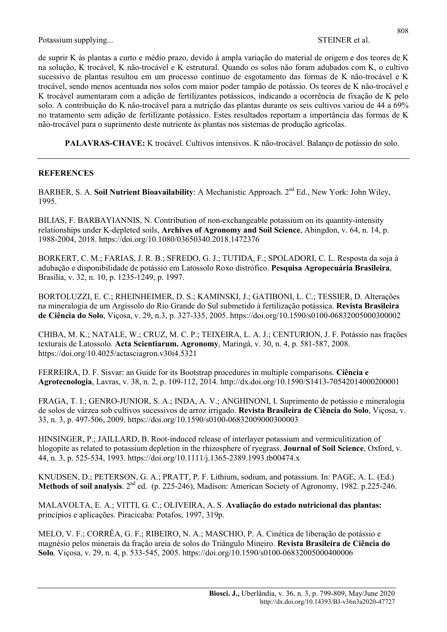de suprir K às plantas a curto e médio prazo, devido à ampla variação do material de origem e dos teores de K na solução, K trocável, K não-trocável e K estrutural. Quando os solos não foram adubados com K, o cultivo sucessivo de plantas resultou em um processo contínuo de esgotamento das formas de K não-trocável e K trocável, sendo menos acentuada nos solos com maior poder tampão de potássio. Os teores de K não-trocável e K trocável aumentaram com a adição de fertilizantes potássicos, indicando a ocorrência de fixação de K pelo solo. A contribuição do K não-trocável para a nutrição das plantas durante os seis cultivos variou de 44 a 69% no tratamento sem adição de fertilizante potássico. Estes resultados reportam a importância das formas de K não-trocável para o suprimento deste nutriente às plantas nos sistemas de produção agrícolas.

PALAVRAS-CHAVE: K trocável. Cultivos intensivos. K não-trocável. Balanço de potássio do solo.

### REFERENCES

BARBER, S. A. Soil Nutrient Bioavailability: A Mechanistic Approach. 2<sup>nd</sup> Ed., New York: John Wiley, 1995.

BILIAS, F. BARBAYIANNIS, N. Contribution of non-exchangeable potassium on its quantity-intensity relationships under K-depleted soils, Archives of Agronomy and Soil Science, Abingdon, v. 64, n. 14, p. 1988-2004, 2018. https://doi.org/10.1080/03650340.2018.1472376

BORKERT, C. M.; FARIAS, J. R. B.; SFREDO, G. J.; TUTIDA, F.; SPOLADORI, C. L. Resposta da soja à adubação e disponibilidade de potássio em Latossolo Roxo distrófico. Pesquisa Agropecuária Brasileira, Brasília, v. 32, n. 10, p. 1235-1249, p. 1997.

BORTOLUZZI, E. C.; RHEINHEIMER, D. S.; KAMINSKI, J.; GATIBONI, L. C.; TESSIER, D. Alterações na mineralogia de um Argissolo do Rio Grande do Sul submetido à fertilização potássica. Revista Brasileira de Ciência do Solo, Viçosa, v. 29, n.3, p. 327-335, 2005. https://doi.org/10.1590/s0100-06832005000300002

CHIBA, M. K.; NATALE, W.; CRUZ, M. C. P.; TEIXEIRA, L. A. J.; CENTURION, J. F. Potássio nas frações texturais de Latossolo. Acta Scientiarum. Agronomy, Maringá, v. 30, n. 4, p. 581-587, 2008. https://doi.org/10.4025/actasciagron.v30i4.5321

FERREIRA, D. F. Sisvar: an Guide for its Bootstrap procedures in multiple comparisons. Ciência e Agrotecnologia, Lavras, v. 38, n. 2, p. 109-112, 2014. http://dx.doi.org/10.1590/S1413-70542014000200001

FRAGA, T. I.; GENRO-JUNIOR, S. A.; INDA, A. V.; ANGHINONI, I. Suprimento de potássio e mineralogia de solos de várzea sob cultivos sucessivos de arroz irrigado. Revista Brasileira de Ciência do Solo, Viçosa, v. 33, n. 3, p. 497-506, 2009. https://doi.org/10.1590/s0100-06832009000300003

HINSINGER, P.; JAILLARD, B. Root-induced release of interlayer potassium and vermiculitization of hlogopite as related to potassium depletion in the rhizosphere of ryegrass. **Journal of Soil Science**, Oxford, v. 44, n. 3, p. 525-534, 1993. https://doi.org/10.1111/j.1365-2389.1993.tb00474.x

KNUDSEN, D.; PETERSON, G. A.; PRATT, P. F. Lithium, sodium, and potassium. In: PAGE, A. L. (Ed.) Methods of soil analysis. 2<sup>nd</sup> ed. (p. 225-246), Madison: American Society of Agronomy, 1982. p.225-246.

MALAVOLTA, E. A.; VITTI, G. C.; OLIVEIRA, A. S. Avaliação do estado nutricional das plantas: princípios e aplicações. Piracicaba: Potafos, 1997, 319p.

MELO, V. F.; CORRÊA, G. F.; RIBEIRO, N. A.; MASCHIO, P. A. Cinética de liberação de potássio e magnésio pelos minerais da fração areia de solos do Triângulo Mineiro. Revista Brasileira de Ciência do Solo, Viçosa, v. 29, n. 4, p. 533-545, 2005. https://doi.org/10.1590/s0100-06832005000400006